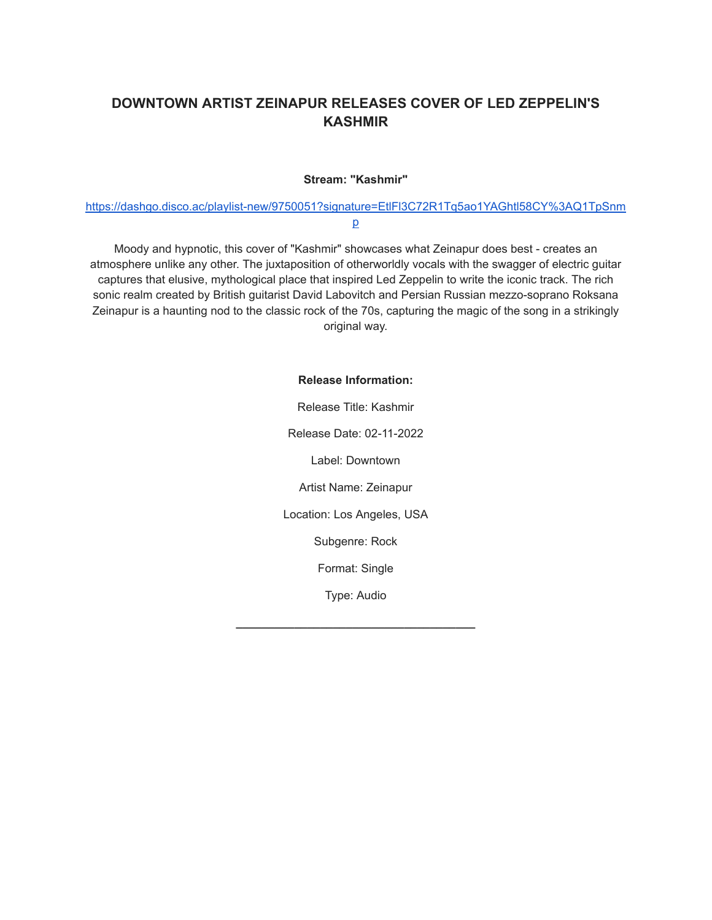## **DOWNTOWN ARTIST ZEINAPUR RELEASES COVER OF LED ZEPPELIN'S KASHMIR**

## **Stream: "Kashmir"**

[https://dashgo.disco.ac/playlist-new/9750051?signature=EtlFl3C72R1Tq5ao1YAGhtl58CY%3AQ1TpSnm](https://dashgo.disco.ac/playlist-new/9750051?signature=EtlFl3C72R1Tq5ao1YAGhtl58CY%3AQ1TpSnmp) [p](https://dashgo.disco.ac/playlist-new/9750051?signature=EtlFl3C72R1Tq5ao1YAGhtl58CY%3AQ1TpSnmp)

Moody and hypnotic, this cover of "Kashmir" showcases what Zeinapur does best - creates an atmosphere unlike any other. The juxtaposition of otherworldly vocals with the swagger of electric guitar captures that elusive, mythological place that inspired Led Zeppelin to write the iconic track. The rich sonic realm created by British guitarist David Labovitch and Persian Russian mezzo-soprano Roksana Zeinapur is a haunting nod to the classic rock of the 70s, capturing the magic of the song in a strikingly original way.

## **Release Information:**

Release Title: Kashmir Release Date: 02-11-2022 Label: Downtown Artist Name: Zeinapur Location: Los Angeles, USA Subgenre: Rock Format: Single

Type: Audio

**\_\_\_\_\_\_\_\_\_\_\_\_\_\_\_\_\_\_\_\_\_\_\_\_\_\_\_\_\_\_\_\_\_\_\_\_\_**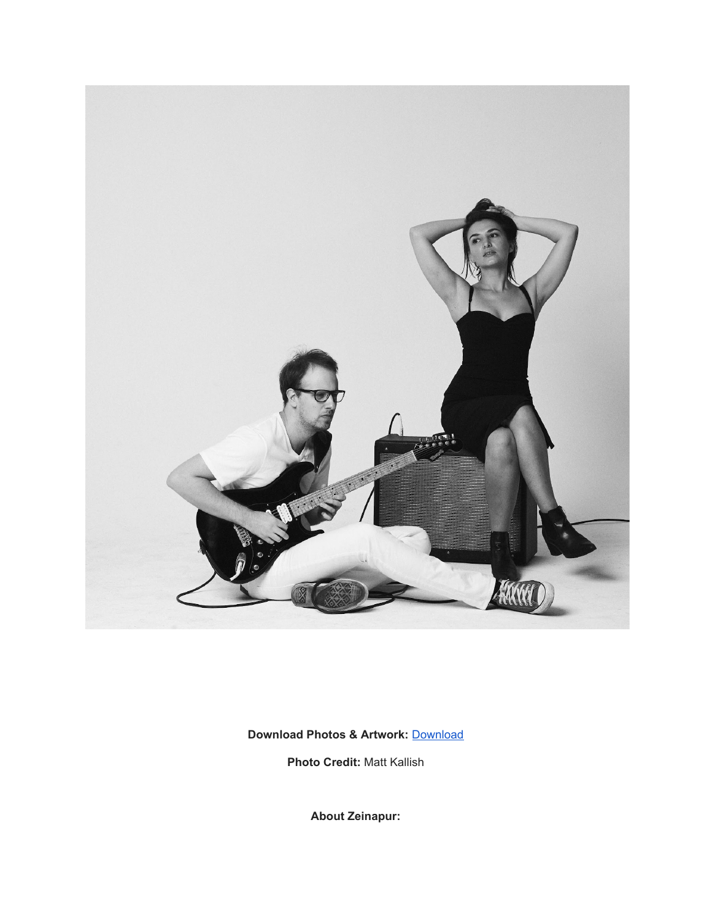

**Download Photos & Artwork:** [Download](https://www.zeinapur.com/epk)

**Photo Credit:** Matt Kallish

**About Zeinapur:**